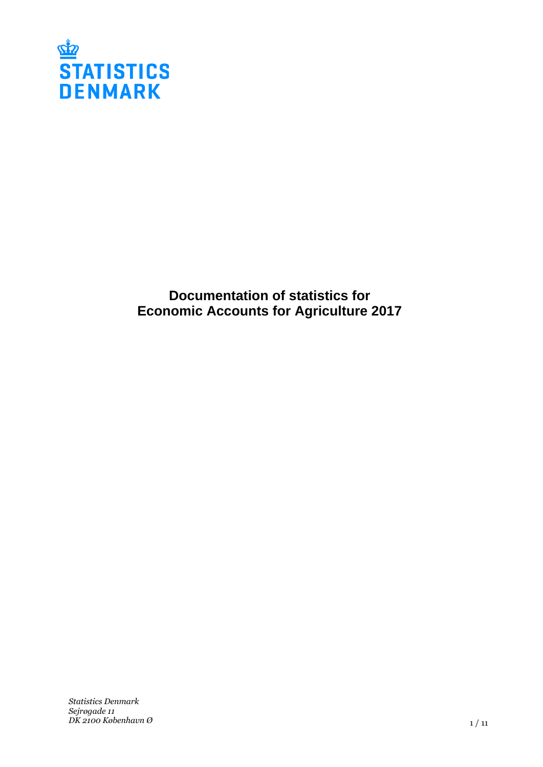

**Documentation of statistics for Economic Accounts for Agriculture 2017**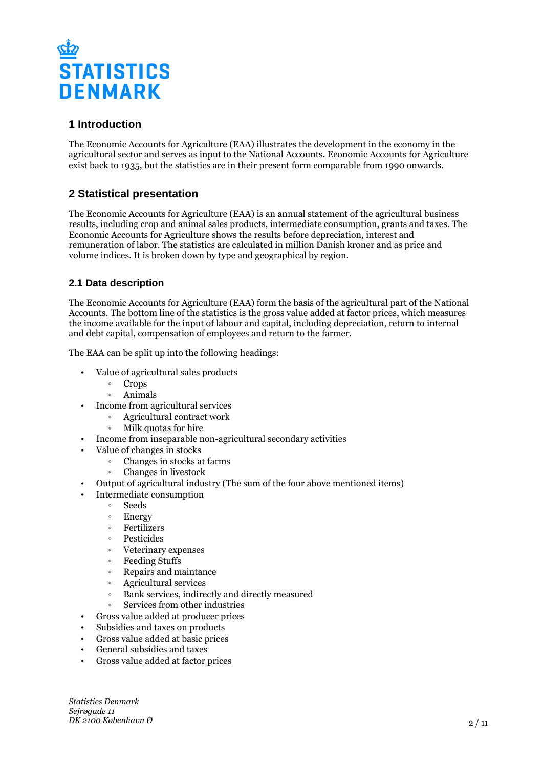

# **1 Introduction**

The Economic Accounts for Agriculture (EAA) illustrates the development in the economy in the agricultural sector and serves as input to the National Accounts. Economic Accounts for Agriculture exist back to 1935, but the statistics are in their present form comparable from 1990 onwards.

# **2 Statistical presentation**

The Economic Accounts for Agriculture (EAA) is an annual statement of the agricultural business results, including crop and animal sales products, intermediate consumption, grants and taxes. The Economic Accounts for Agriculture shows the results before depreciation, interest and remuneration of labor. The statistics are calculated in million Danish kroner and as price and volume indices. It is broken down by type and geographical by region.

# **2.1 Data description**

The Economic Accounts for Agriculture (EAA) form the basis of the agricultural part of the National Accounts. The bottom line of the statistics is the gross value added at factor prices, which measures the income available for the input of labour and capital, including depreciation, return to internal and debt capital, compensation of employees and return to the farmer.

The EAA can be split up into the following headings:

- Value of agricultural sales products
	- Crops
	- ƕ Animals
- Income from agricultural services
	- ƕ Agricultural contract work
	- ƕ Milk quotas for hire
- Income from inseparable non-agricultural secondary activities
- Value of changes in stocks
	- ƕ Changes in stocks at farms
	- ƕ Changes in livestock
- Output of agricultural industry (The sum of the four above mentioned items)
- Intermediate consumption
	- Seeds
	- Energy
	- ƕ Fertilizers
	- **Pesticides**
	- ƕ Veterinary expenses
	- ƕ Feeding Stuffs
	- ƕ Repairs and maintance
	- ƕ Agricultural services
	- ƕ Bank services, indirectly and directly measured
	- ƕ Services from other industries
- Gross value added at producer prices
- Subsidies and taxes on products
- Gross value added at basic prices
- General subsidies and taxes
- Gross value added at factor prices

*Statistics Denmark Sejrøgade 11 DK 2100 København Ø*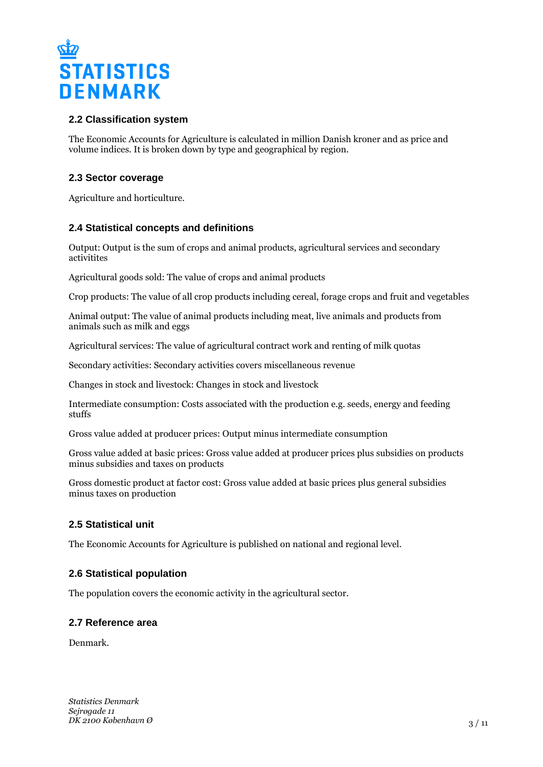

## **2.2 Classification system**

The Economic Accounts for Agriculture is calculated in million Danish kroner and as price and volume indices. It is broken down by type and geographical by region.

# **2.3 Sector coverage**

Agriculture and horticulture.

## **2.4 Statistical concepts and definitions**

Output: Output is the sum of crops and animal products, agricultural services and secondary activitites

Agricultural goods sold: The value of crops and animal products

Crop products: The value of all crop products including cereal, forage crops and fruit and vegetables

Animal output: The value of animal products including meat, live animals and products from animals such as milk and eggs

Agricultural services: The value of agricultural contract work and renting of milk quotas

Secondary activities: Secondary activities covers miscellaneous revenue

Changes in stock and livestock: Changes in stock and livestock

Intermediate consumption: Costs associated with the production e.g. seeds, energy and feeding stuffs

Gross value added at producer prices: Output minus intermediate consumption

Gross value added at basic prices: Gross value added at producer prices plus subsidies on products minus subsidies and taxes on products

Gross domestic product at factor cost: Gross value added at basic prices plus general subsidies minus taxes on production

## **2.5 Statistical unit**

The Economic Accounts for Agriculture is published on national and regional level.

## **2.6 Statistical population**

The population covers the economic activity in the agricultural sector.

#### **2.7 Reference area**

Denmark.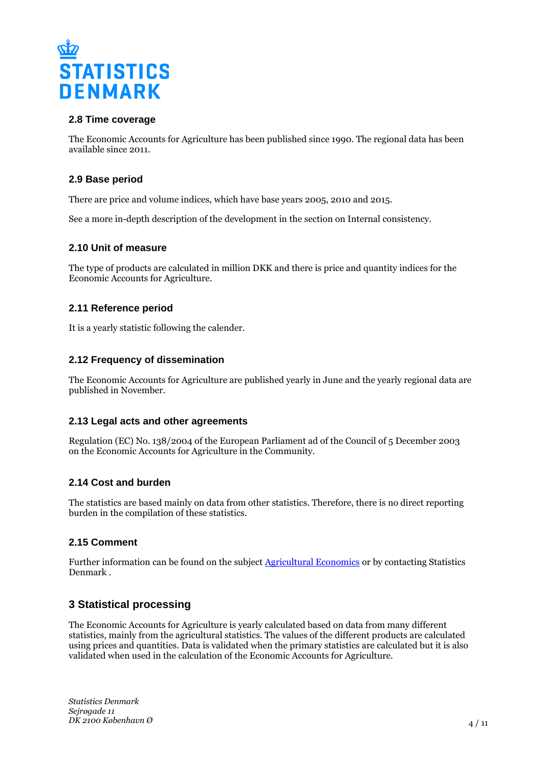

#### **2.8 Time coverage**

The Economic Accounts for Agriculture has been published since 1990. The regional data has been available since 2011.

#### **2.9 Base period**

There are price and volume indices, which have base years 2005, 2010 and 2015.

See a more in-depth description of the development in the section on Internal consistency.

#### **2.10 Unit of measure**

The type of products are calculated in million DKK and there is price and quantity indices for the Economic Accounts for Agriculture.

#### **2.11 Reference period**

It is a yearly statistic following the calender.

#### **2.12 Frequency of dissemination**

The Economic Accounts for Agriculture are published yearly in June and the yearly regional data are published in November.

#### **2.13 Legal acts and other agreements**

Regulation (EC) No. 138/2004 of the European Parliament ad of the Council of 5 December 2003 on the Economic Accounts for Agriculture in the Community.

#### **2.14 Cost and burden**

The statistics are based mainly on data from other statistics. Therefore, there is no direct reporting burden in the compilation of these statistics.

#### **2.15 Comment**

Further information can be found on the subject **Agricultural Economics** or by contacting Statistics Denmark .

## **3 Statistical processing**

The Economic Accounts for Agriculture is yearly calculated based on data from many different statistics, mainly from the agricultural statistics. The values of the different products are calculated using prices and quantities. Data is validated when the primary statistics are calculated but it is also validated when used in the calculation of the Economic Accounts for Agriculture.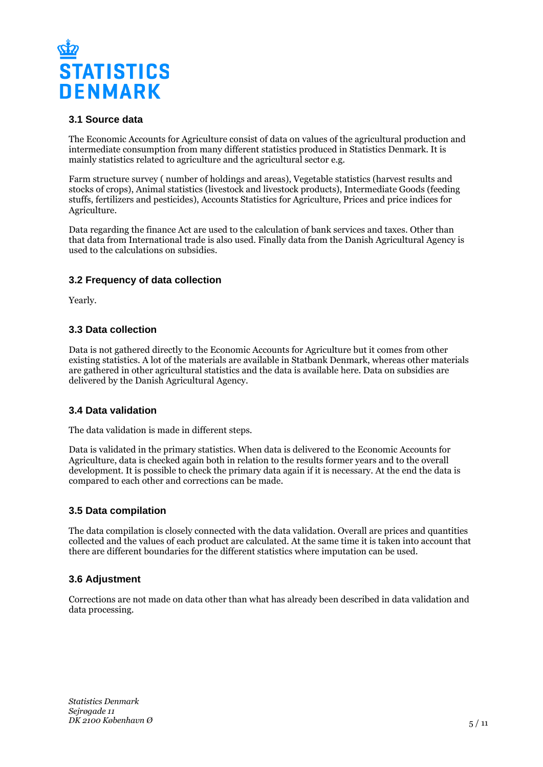

# **3.1 Source data**

The Economic Accounts for Agriculture consist of data on values of the agricultural production and intermediate consumption from many different statistics produced in Statistics Denmark. It is mainly statistics related to agriculture and the agricultural sector e.g.

Farm structure survey ( number of holdings and areas), Vegetable statistics (harvest results and stocks of crops), Animal statistics (livestock and livestock products), Intermediate Goods (feeding stuffs, fertilizers and pesticides), Accounts Statistics for Agriculture, Prices and price indices for Agriculture.

Data regarding the finance Act are used to the calculation of bank services and taxes. Other than that data from International trade is also used. Finally data from the Danish Agricultural Agency is used to the calculations on subsidies.

## **3.2 Frequency of data collection**

Yearly.

## **3.3 Data collection**

Data is not gathered directly to the Economic Accounts for Agriculture but it comes from other existing statistics. A lot of the materials are available in Statbank Denmark, whereas other materials are gathered in other agricultural statistics and the data is available here. Data on subsidies are delivered by the Danish Agricultural Agency.

## **3.4 Data validation**

The data validation is made in different steps.

Data is validated in the primary statistics. When data is delivered to the Economic Accounts for Agriculture, data is checked again both in relation to the results former years and to the overall development. It is possible to check the primary data again if it is necessary. At the end the data is compared to each other and corrections can be made.

#### **3.5 Data compilation**

The data compilation is closely connected with the data validation. Overall are prices and quantities collected and the values of each product are calculated. At the same time it is taken into account that there are different boundaries for the different statistics where imputation can be used.

## **3.6 Adjustment**

Corrections are not made on data other than what has already been described in data validation and data processing.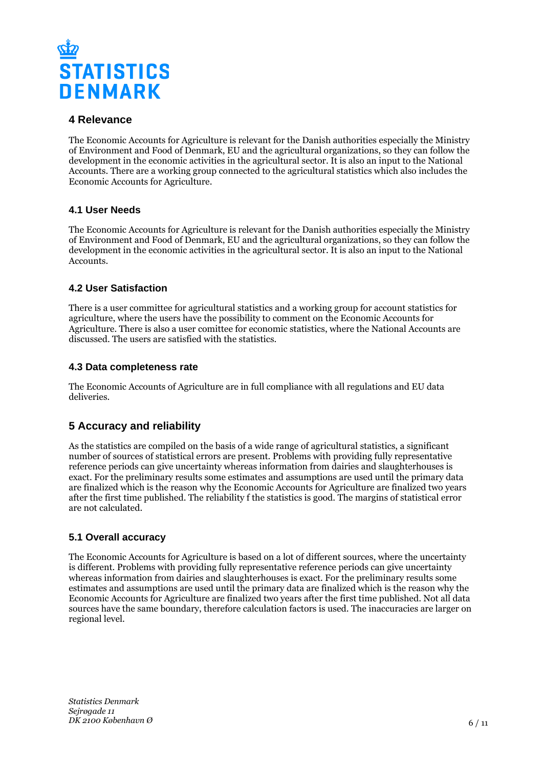

# **4 Relevance**

The Economic Accounts for Agriculture is relevant for the Danish authorities especially the Ministry of Environment and Food of Denmark, EU and the agricultural organizations, so they can follow the development in the economic activities in the agricultural sector. It is also an input to the National Accounts. There are a working group connected to the agricultural statistics which also includes the Economic Accounts for Agriculture.

## **4.1 User Needs**

The Economic Accounts for Agriculture is relevant for the Danish authorities especially the Ministry of Environment and Food of Denmark, EU and the agricultural organizations, so they can follow the development in the economic activities in the agricultural sector. It is also an input to the National Accounts.

## **4.2 User Satisfaction**

There is a user committee for agricultural statistics and a working group for account statistics for agriculture, where the users have the possibility to comment on the Economic Accounts for Agriculture. There is also a user comittee for economic statistics, where the National Accounts are discussed. The users are satisfied with the statistics.

## **4.3 Data completeness rate**

The Economic Accounts of Agriculture are in full compliance with all regulations and EU data deliveries.

# **5 Accuracy and reliability**

As the statistics are compiled on the basis of a wide range of agricultural statistics, a significant number of sources of statistical errors are present. Problems with providing fully representative reference periods can give uncertainty whereas information from dairies and slaughterhouses is exact. For the preliminary results some estimates and assumptions are used until the primary data are finalized which is the reason why the Economic Accounts for Agriculture are finalized two years after the first time published. The reliability f the statistics is good. The margins of statistical error are not calculated.

# **5.1 Overall accuracy**

The Economic Accounts for Agriculture is based on a lot of different sources, where the uncertainty is different. Problems with providing fully representative reference periods can give uncertainty whereas information from dairies and slaughterhouses is exact. For the preliminary results some estimates and assumptions are used until the primary data are finalized which is the reason why the Economic Accounts for Agriculture are finalized two years after the first time published. Not all data sources have the same boundary, therefore calculation factors is used. The inaccuracies are larger on regional level.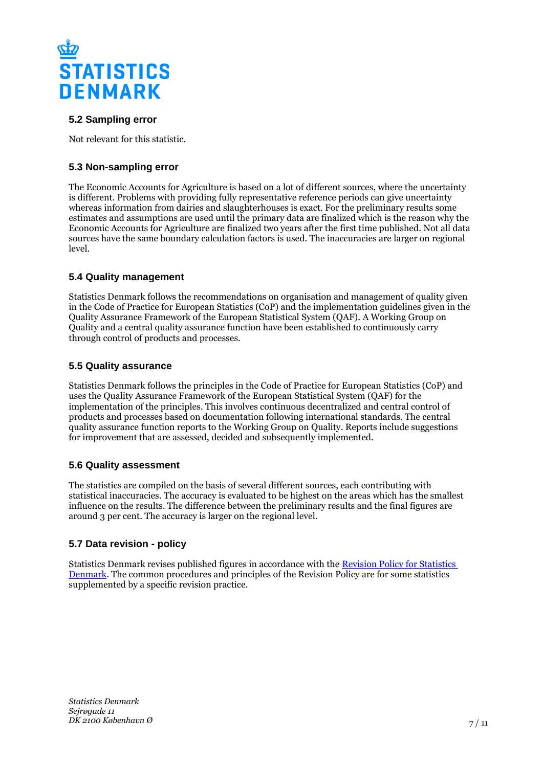

# **5.2 Sampling error**

Not relevant for this statistic.

# **5.3 Non-sampling error**

The Economic Accounts for Agriculture is based on a lot of different sources, where the uncertainty is different. Problems with providing fully representative reference periods can give uncertainty whereas information from dairies and slaughterhouses is exact. For the preliminary results some estimates and assumptions are used until the primary data are finalized which is the reason why the Economic Accounts for Agriculture are finalized two years after the first time published. Not all data sources have the same boundary calculation factors is used. The inaccuracies are larger on regional level.

## **5.4 Quality management**

Statistics Denmark follows the recommendations on organisation and management of quality given in the Code of Practice for European Statistics (CoP) and the implementation guidelines given in the Quality Assurance Framework of the European Statistical System (QAF). A Working Group on Quality and a central quality assurance function have been established to continuously carry through control of products and processes.

#### **5.5 Quality assurance**

Statistics Denmark follows the principles in the Code of Practice for European Statistics (CoP) and uses the Quality Assurance Framework of the European Statistical System (QAF) for the implementation of the principles. This involves continuous decentralized and central control of products and processes based on documentation following international standards. The central quality assurance function reports to the Working Group on Quality. Reports include suggestions for improvement that are assessed, decided and subsequently implemented.

## **5.6 Quality assessment**

The statistics are compiled on the basis of several different sources, each contributing with statistical inaccuracies. The accuracy is evaluated to be highest on the areas which has the smallest influence on the results. The difference between the preliminary results and the final figures are around 3 per cent. The accuracy is larger on the regional level.

## **5.7 Data revision - policy**

Statistics Denmark revises published figures in accordance with the [Revision Policy for Statistics](https://www.dst.dk/en/OmDS/strategi-og-kvalitet/revisionspolitik.aspx)  [Denmark.](https://www.dst.dk/en/OmDS/strategi-og-kvalitet/revisionspolitik.aspx) The common procedures and principles of the Revision Policy are for some statistics supplemented by a specific revision practice.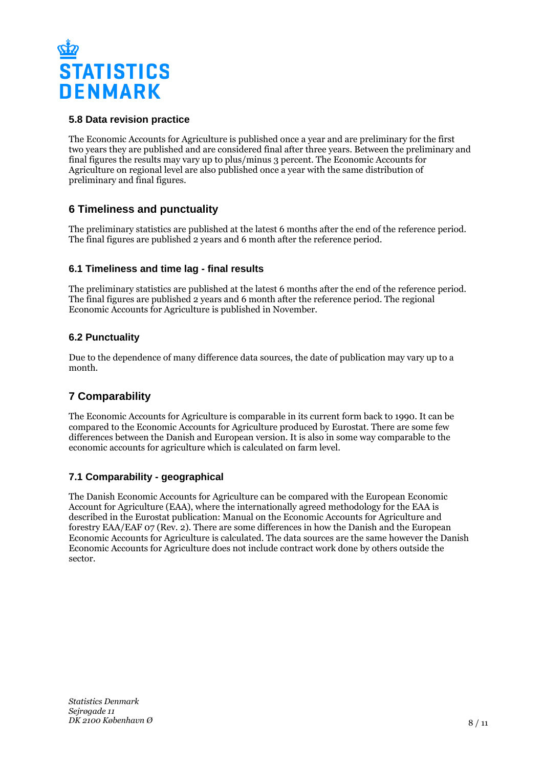

# **5.8 Data revision practice**

The Economic Accounts for Agriculture is published once a year and are preliminary for the first two years they are published and are considered final after three years. Between the preliminary and final figures the results may vary up to plus/minus 3 percent. The Economic Accounts for Agriculture on regional level are also published once a year with the same distribution of preliminary and final figures.

# **6 Timeliness and punctuality**

The preliminary statistics are published at the latest 6 months after the end of the reference period. The final figures are published 2 years and 6 month after the reference period.

## **6.1 Timeliness and time lag - final results**

The preliminary statistics are published at the latest 6 months after the end of the reference period. The final figures are published 2 years and 6 month after the reference period. The regional Economic Accounts for Agriculture is published in November.

## **6.2 Punctuality**

Due to the dependence of many difference data sources, the date of publication may vary up to a month.

# **7 Comparability**

The Economic Accounts for Agriculture is comparable in its current form back to 1990. It can be compared to the Economic Accounts for Agriculture produced by Eurostat. There are some few differences between the Danish and European version. It is also in some way comparable to the economic accounts for agriculture which is calculated on farm level.

## **7.1 Comparability - geographical**

The Danish Economic Accounts for Agriculture can be compared with the European Economic Account for Agriculture (EAA), where the internationally agreed methodology for the EAA is described in the Eurostat publication: Manual on the Economic Accounts for Agriculture and forestry EAA/EAF 07 (Rev. 2). There are some differences in how the Danish and the European Economic Accounts for Agriculture is calculated. The data sources are the same however the Danish Economic Accounts for Agriculture does not include contract work done by others outside the sector.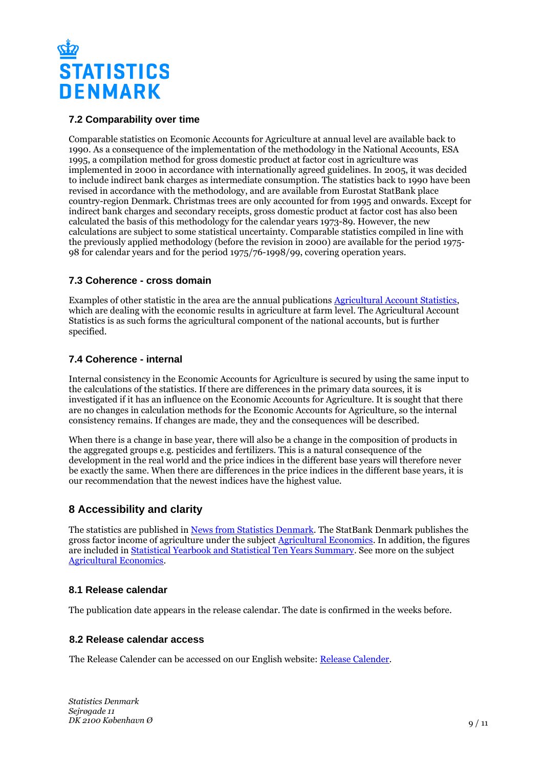

## **7.2 Comparability over time**

Comparable statistics on Ecomonic Accounts for Agriculture at annual level are available back to 1990. As a consequence of the implementation of the methodology in the National Accounts, ESA 1995, a compilation method for gross domestic product at factor cost in agriculture was implemented in 2000 in accordance with internationally agreed guidelines. In 2005, it was decided to include indirect bank charges as intermediate consumption. The statistics back to 1990 have been revised in accordance with the methodology, and are available from Eurostat StatBank place country-region Denmark. Christmas trees are only accounted for from 1995 and onwards. Except for indirect bank charges and secondary receipts, gross domestic product at factor cost has also been calculated the basis of this methodology for the calendar years 1973-89. However, the new calculations are subject to some statistical uncertainty. Comparable statistics compiled in line with the previously applied methodology (before the revision in 2000) are available for the period 1975- 98 for calendar years and for the period 1975/76-1998/99, covering operation years.

#### **7.3 Coherence - cross domain**

Examples of other statistic in the area are the annual publications [Agricultural Account Statistics](https://www.dst.dk/da/Statistik/Publikationer/VisPub?cid=20707), which are dealing with the economic results in agriculture at farm level. The Agricultural Account Statistics is as such forms the agricultural component of the national accounts, but is further specified.

## **7.4 Coherence - internal**

Internal consistency in the Economic Accounts for Agriculture is secured by using the same input to the calculations of the statistics. If there are differences in the primary data sources, it is investigated if it has an influence on the Economic Accounts for Agriculture. It is sought that there are no changes in calculation methods for the Economic Accounts for Agriculture, so the internal consistency remains. If changes are made, they and the consequences will be described.

When there is a change in base year, there will also be a change in the composition of products in the aggregated groups e.g. pesticides and fertilizers. This is a natural consequence of the development in the real world and the price indices in the different base years will therefore never be exactly the same. When there are differences in the price indices in the different base years, it is our recommendation that the newest indices have the highest value.

# **8 Accessibility and clarity**

The statistics are published in [News from Statistics Denmark](https://www.dst.dk/en/Statistik/ny). The StatBank Denmark publishes the gross factor income of agriculture under the subject **[Agricultural Economics](http://www.statbank.dk/10204)**. In addition, the figures are included in **[Statistical Yearbook and Statistical Ten Years Summary](https://www.dst.dk/en/Statistik/Publikationer)**. See more on the subject [Agricultural Economics](https://www.dst.dk/en/Statistik/emner/erhvervslivsektorer/landbrug-gartneri-og-skovbrug/jordbrugets%C3%B8konomi).

#### **8.1 Release calendar**

The publication date appears in the release calendar. The date is confirmed in the weeks before.

#### **8.2 Release calendar access**

The Release Calender can be accessed on our English website: [Release Calender.](https://www.dst.dk/en/Statistik/offentliggoerelser.aspx)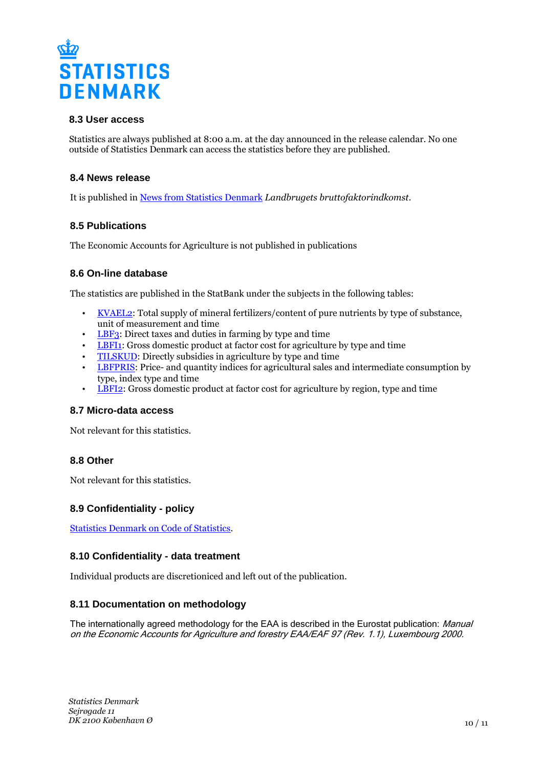

#### **8.3 User access**

Statistics are always published at 8:00 a.m. at the day announced in the release calendar. No one outside of Statistics Denmark can access the statistics before they are published.

#### **8.4 News release**

It is published in [News from Statistics Denmark](https://www.dst.dk/en/Statistik/nyt) *Landbrugets bruttofaktorindkomst*.

#### **8.5 Publications**

The Economic Accounts for Agriculture is not published in publications

#### **8.6 On-line database**

The statistics are published in the StatBank under the subjects in the following tables:

- [KVAEL2](http://www.statbank.dk/KVAEL2): Total supply of mineral fertilizers/content of pure nutrients by type of substance, unit of measurement and time
- [LBF3:](http://www.statbank.dk/LBF3) Direct taxes and duties in farming by type and time
- [LBFI1:](http://www.statbank.dk/LBFI1) Gross domestic product at factor cost for agriculture by type and time
- [TILSKUD:](http://www.statbank.dk/TILSKUD) Directly subsidies in agriculture by type and time
- [LBFPRIS](http://www.statbank.dk/LBFPRIS): Price- and quantity indices for agricultural sales and intermediate consumption by type, index type and time
- **[LBFI2:](http://www.statbank.dk/LBFI2)** Gross domestic product at factor cost for agriculture by region, type and time

#### **8.7 Micro-data access**

Not relevant for this statistics.

#### **8.8 Other**

Not relevant for this statistics.

#### **8.9 Confidentiality - policy**

[Statistics Denmark on Code of Statistics.](https://www.dst.dk/en/OmDS/lovgivning.aspx)

#### **8.10 Confidentiality - data treatment**

Individual products are discretioniced and left out of the publication.

#### **8.11 Documentation on methodology**

The internationally agreed methodology for the EAA is described in the Eurostat publication: *Manual* on the Economic Accounts for Agriculture and forestry EAA/EAF 97 (Rev. 1.1), Luxembourg 2000.